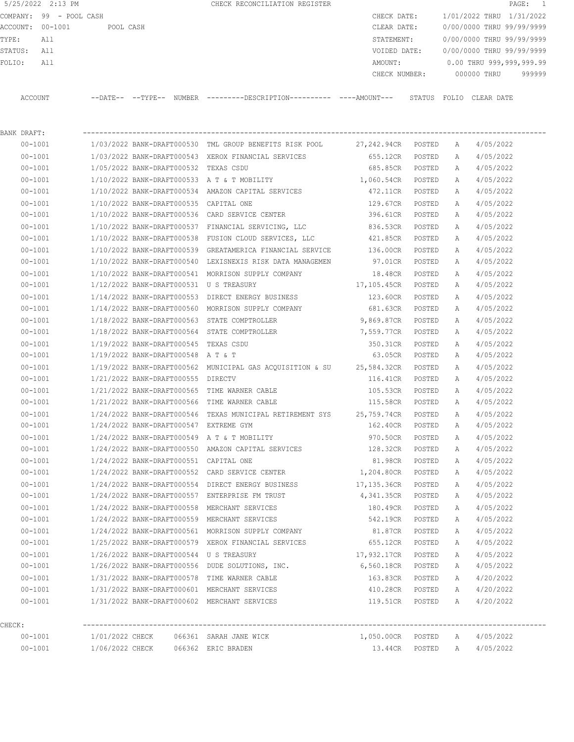5/25/2022 2:13 PM **CHECK RECONCILIATION REGISTER PAGE:** 1 COMPANY: 99 - POOL CASH CHECK DATE: 1/01/2022 THRU 1/31/2022 ACCOUNT: 00-1001 POOL CASH CLEAR DATE: 0/00/0000 THRU 99/99/9999 TYPE: All STATEMENT: 0/00/0000 THRU 99/99/9999 STATUS: All VOIDED DATE: 0/00/0000 THRU 99/99/9999 FOLIO: All AMOUNT: 0.00 THRU 999,999,999.99 CHECK NUMBER: 000000 THRU 999999 ACCOUNT --DATE-- --TYPE-- NUMBER ---------DESCRIPTION---------- ----AMOUNT--- STATUS FOLIO CLEAR DATE

|        | BANK DRAFT: |                                         |                                                                                                              |                               |        |   |                            |
|--------|-------------|-----------------------------------------|--------------------------------------------------------------------------------------------------------------|-------------------------------|--------|---|----------------------------|
|        | $00 - 1001$ |                                         | $1/03/2022$ BANK-DRAFT000530 TML GROUP BENEFITS RISK POOL $27,242.94$ CR POSTED A $4/05/2022$                |                               |        |   |                            |
|        | $00 - 1001$ |                                         | 1/03/2022 BANK-DRAFT000543 XEROX FINANCIAL SERVICES 655.12CR POSTED A                                        |                               |        |   | 4/05/2022                  |
|        | $00 - 1001$ | 1/05/2022 BANK-DRAFT000532 TEXAS CSDU   |                                                                                                              | 685.85CR POSTED               |        | A | 4/05/2022                  |
|        | $00 - 1001$ |                                         | $1/10/2022$ BANK-DRAFT000533 A T & T MOBILITY $1,060.54$ CR POSTED                                           |                               |        | A | 4/05/2022                  |
|        | $00 - 1001$ |                                         | 1/10/2022 BANK-DRAFT000534 AMAZON CAPITAL SERVICES                                                           | 472.11CR POSTED               |        | A | 4/05/2022                  |
|        | $00 - 1001$ | 1/10/2022 BANK-DRAFT000535 CAPITAL ONE  |                                                                                                              | 129.67CR POSTED               |        | A | 4/05/2022                  |
|        | 00-1001     |                                         | $1/10/2022$ BANK-DRAFT000536 CARD SERVICE CENTER                                                             | 396.61CR POSTED               |        | A | 4/05/2022                  |
|        | $00 - 1001$ |                                         | 1/10/2022 BANK-DRAFT000537 FINANCIAL SERVICING, LLC                                                          | 836.53CR POSTED               |        | A | 4/05/2022                  |
|        | 00-1001     |                                         | 1/10/2022 BANK-DRAFT000538 FUSION CLOUD SERVICES, LLC 421.85CR POSTED                                        |                               |        | A | 4/05/2022                  |
|        | $00 - 1001$ |                                         | 1/10/2022 BANK-DRAFT000539 GREATAMERICA FINANCIAL SERVICE 136.00CR POSTED                                    |                               |        | A | 4/05/2022                  |
|        | $00 - 1001$ |                                         | 1/10/2022 BANK-DRAFT000540 LEXISNEXIS RISK DATA MANAGEMEN 597.01CR POSTED                                    |                               |        | A | 4/05/2022                  |
|        | $00 - 1001$ |                                         | 1/10/2022 BANK-DRAFT000541 MORRISON SUPPLY COMPANY 18.48CR POSTED                                            |                               |        | A | 4/05/2022                  |
|        | $00 - 1001$ | 1/12/2022 BANK-DRAFT000531 U S TREASURY |                                                                                                              | 17,105.45CR POSTED            |        | A | 4/05/2022                  |
|        | $00 - 1001$ |                                         | $1/14/2022$ BANK-DRAFT000553 DIRECT ENERGY BUSINESS $1/14/2022$ BANK-DRAFT000553 DIRECT ENERGY BUSINESS 2008 |                               |        | A | 4/05/2022                  |
|        | $00 - 1001$ |                                         | 1/14/2022 BANK-DRAFT000560 MORRISON SUPPLY COMPANY 681.63CR POSTED                                           |                               |        | A | 4/05/2022                  |
|        | $00 - 1001$ |                                         | 1/18/2022 BANK-DRAFT000563 STATE COMPTROLLER                                                                 | 9,869.87CR POSTED             |        | A | 4/05/2022                  |
|        | $00 - 1001$ |                                         | 1/18/2022 BANK-DRAFT000564 STATE COMPTROLLER                                                                 | 7,559.77CR POSTED             |        | A | 4/05/2022                  |
|        | $00 - 1001$ | 1/19/2022 BANK-DRAFT000545 TEXAS CSDU   |                                                                                                              | 350.31CR POSTED               |        | A | 4/05/2022                  |
|        | $00 - 1001$ | 1/19/2022 BANK-DRAFT000548 A T & T      |                                                                                                              | 63.05CR POSTED                |        | A | 4/05/2022                  |
|        | $00 - 1001$ |                                         | 1/19/2022 BANK-DRAFT000562 MUNICIPAL GAS ACQUISITION & SU 25,584.32CR POSTED                                 |                               |        | A | 4/05/2022                  |
|        | $00 - 1001$ | 1/21/2022 BANK-DRAFT000555 DIRECTV      |                                                                                                              | 116.41CR POSTED               |        | A | 4/05/2022                  |
|        | $00 - 1001$ |                                         | 1/21/2022 BANK-DRAFT000565 TIME WARNER CABLE                                                                 | 105.53CR POSTED               |        | A | 4/05/2022                  |
|        | $00 - 1001$ |                                         | $1/21/2022$ BANK-DRAFT000566 TIME WARNER CABLE $115.58$ CR POSTED                                            |                               |        | A | 4/05/2022                  |
|        | $00 - 1001$ |                                         | 1/24/2022 BANK-DRAFT000546 TEXAS MUNICIPAL RETIREMENT SYS 25,759.74CR POSTED                                 |                               |        | A | 4/05/2022                  |
|        | $00 - 1001$ | 1/24/2022 BANK-DRAFT000547 EXTREME GYM  |                                                                                                              | 162.40CR POSTED               |        | A | 4/05/2022                  |
|        | $00 - 1001$ |                                         | $1/24/2022$ BANK-DRAFT000549 A T & T MOBILITY 970.50CR POSTED                                                |                               |        | A | 4/05/2022                  |
|        | $00 - 1001$ |                                         | 1/24/2022 BANK-DRAFT000550 AMAZON CAPITAL SERVICES 128.32CR POSTED                                           |                               |        | A | 4/05/2022                  |
|        | $00 - 1001$ | 1/24/2022 BANK-DRAFT000551 CAPITAL ONE  |                                                                                                              | 81.98CR POSTED                |        | A | 4/05/2022                  |
|        | $00 - 1001$ |                                         | 1/24/2022 BANK-DRAFT000552 CARD SERVICE CENTER                                                               | 1,204.80CR POSTED             |        | A | 4/05/2022                  |
|        | $00 - 1001$ |                                         | 1/24/2022 BANK-DRAFT000554 DIRECT ENERGY BUSINESS                                                            | 17,135.36CR POSTED            |        | A | 4/05/2022                  |
|        | $00 - 1001$ |                                         | 1/24/2022 BANK-DRAFT000557 ENTERPRISE FM TRUST                                                               | 4,341.35CR POSTED             |        | A | 4/05/2022                  |
|        | $00 - 1001$ |                                         | 1/24/2022 BANK-DRAFT000558 MERCHANT SERVICES                                                                 | 180.49CR POSTED               |        | A | 4/05/2022                  |
|        | $00 - 1001$ |                                         | 1/24/2022 BANK-DRAFT000559 MERCHANT SERVICES                                                                 | 542.19CR POSTED               |        | A | 4/05/2022                  |
|        | $00 - 1001$ |                                         | 1/24/2022 BANK-DRAFT000561 MORRISON SUPPLY COMPANY 61.87CR POSTED A                                          |                               |        |   | 4/05/2022                  |
|        | $00 - 1001$ |                                         | 1/25/2022 BANK-DRAFT000579 XEROX FINANCIAL SERVICES 655.12CR POSTED                                          |                               |        | A | 4/05/2022                  |
|        | $00 - 1001$ | 1/26/2022 BANK-DRAFT000544 U S TREASURY |                                                                                                              | 17,932.17CR                   | POSTED | Α | 4/05/2022                  |
|        | $00 - 1001$ |                                         | 1/26/2022 BANK-DRAFT000556 DUDE SOLUTIONS, INC.                                                              | 6,560.18CR                    | POSTED | A | 4/05/2022                  |
|        | $00 - 1001$ |                                         | 1/31/2022 BANK-DRAFT000578 TIME WARNER CABLE                                                                 | 163.83CR                      | POSTED | Α | 4/20/2022                  |
|        | $00 - 1001$ |                                         | 1/31/2022 BANK-DRAFT000601 MERCHANT SERVICES                                                                 | 410.28CR                      | POSTED | A | 4/20/2022                  |
|        | $00 - 1001$ |                                         | 1/31/2022 BANK-DRAFT000602 MERCHANT SERVICES                                                                 | 119.51CR POSTED               |        | A | 4/20/2022                  |
|        |             |                                         |                                                                                                              |                               |        |   |                            |
| CHECK: |             |                                         |                                                                                                              |                               |        |   |                            |
|        | 00-1001     |                                         |                                                                                                              | 1,050.00CR POSTED A 4/05/2022 |        |   |                            |
|        | $00 - 1001$ | 1/06/2022 CHECK 066362 ERIC BRADEN      |                                                                                                              |                               |        |   | 13.44CR POSTED A 4/05/2022 |
|        |             |                                         |                                                                                                              |                               |        |   |                            |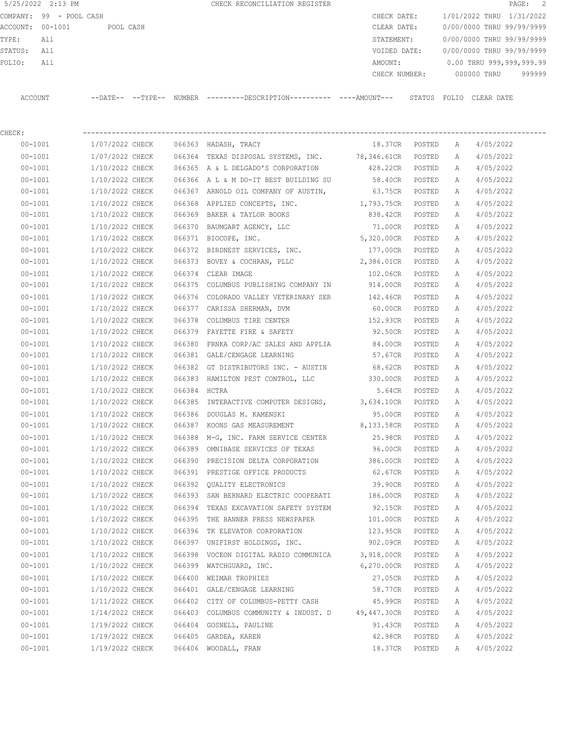|                  | 5/25/2022 2:13 PM       |                            |        | CHECK RECONCILIATION REGISTER |               |       |             | PAGE: 2                   |  |
|------------------|-------------------------|----------------------------|--------|-------------------------------|---------------|-------|-------------|---------------------------|--|
|                  | COMPANY: 99 - POOL CASH |                            |        |                               | CHECK DATE:   |       |             | 1/01/2022 THRU 1/31/2022  |  |
| ACCOUNT: 00-1001 |                         | POOL CASH                  |        |                               | CLEAR DATE:   |       |             | 0/00/0000 THRU 99/99/9999 |  |
| TYPE:            | All                     |                            |        |                               | STATEMENT:    |       |             | 0/00/0000 THRU 99/99/9999 |  |
| STATUS:          | All                     |                            |        |                               | VOIDED DATE:  |       |             | 0/00/0000 THRU 99/99/9999 |  |
| FOLIO:           | All                     |                            |        |                               | AMOUNT:       |       |             | 0.00 THRU 999,999,999.99  |  |
|                  |                         |                            |        |                               | CHECK NUMBER: |       | 000000 THRU | 999999                    |  |
|                  |                         |                            |        |                               |               |       |             |                           |  |
| ACCOUNT          |                         | $--$ DATE $- --$ TYPE $--$ | NUMBER |                               | STATUS        | FOLTO | CLEAR DATE  |                           |  |

| CHECK:      |                                        |                                                                          |                   |        |   |                            |
|-------------|----------------------------------------|--------------------------------------------------------------------------|-------------------|--------|---|----------------------------|
| $00 - 1001$ | 1/07/2022 CHECK 066363 HADASH, TRACY   |                                                                          | 18.37CR POSTED A  |        |   | 4/05/2022                  |
| $00 - 1001$ |                                        | 1/07/2022 CHECK 066364 TEXAS DISPOSAL SYSTEMS, INC. 78,346.61CR POSTED   |                   |        | A | 4/05/2022                  |
| $00 - 1001$ |                                        | 1/10/2022 CHECK 066365 A & L DELGADO'S CORPORATION                       | 428.22CR POSTED   |        | A | 4/05/2022                  |
| $00 - 1001$ |                                        | $1/10/2022$ CHECK 066366 A L & M DO-IT BEST BUILDING SU                  | 58.40CR POSTED    |        | A | 4/05/2022                  |
| $00 - 1001$ |                                        | 1/10/2022 CHECK 066367 ARNOLD OIL COMPANY OF AUSTIN,                     | 63.75CR POSTED    |        | A | 4/05/2022                  |
| $00 - 1001$ |                                        | $1/10/2022$ CHECK 066368 APPLIED CONCEPTS, INC. $1,793.75$ CR POSTED     |                   |        | A | 4/05/2022                  |
| $00 - 1001$ | 1/10/2022 CHECK                        | 066369 BAKER & TAYLOR BOOKS                                              | 838.42CR POSTED   |        | A | 4/05/2022                  |
| $00 - 1001$ | 1/10/2022 CHECK                        | 066370 BAUMGART AGENCY, LLC                                              | 71.00CR POSTED    |        | A | 4/05/2022                  |
| $00 - 1001$ | 1/10/2022 CHECK                        | 066371 BIOCOPE, INC.                                                     | 5,320.00CR POSTED |        | A | 4/05/2022                  |
| $00 - 1001$ |                                        | 1/10/2022 CHECK 066372 BIRDNEST SERVICES, INC.                           | 177.00CR POSTED   |        | A | 4/05/2022                  |
| $00 - 1001$ |                                        | $1/10/2022$ CHECK $066373$ BOVEY & COCHRAN, PLLC                         | 2,386.01CR POSTED |        | A | 4/05/2022                  |
| $00 - 1001$ | 1/10/2022 CHECK 066374 CLEAR IMAGE     |                                                                          | 102.06CR POSTED   |        | A | 4/05/2022                  |
| $00 - 1001$ |                                        | 1/10/2022 CHECK 066375 COLUMBUS PUBLISHING COMPANY IN 914.00CR POSTED    |                   |        | A | 4/05/2022                  |
| $00 - 1001$ |                                        | $1/10/2022$ CHECK 066376 COLORADO VALLEY VETERINARY SER 142.46CR POSTED  |                   |        | A | 4/05/2022                  |
| $00 - 1001$ |                                        | 1/10/2022 CHECK 066377 CARISSA SHERMAN, DVM                              | 60.00CR POSTED    |        | A | 4/05/2022                  |
| $00 - 1001$ |                                        | 1/10/2022 CHECK 066378 COLUMBUS TIRE CENTER                              | 152.93CR POSTED   |        | A | 4/05/2022                  |
| $00 - 1001$ | 1/10/2022 CHECK                        | 066379 FAYETTE FIRE & SAFETY                                             | 92.50CR POSTED    |        | A | 4/05/2022                  |
| $00 - 1001$ |                                        | $1/10/2022$ CHECK 066380 FRNKA CORP/AC SALES AND APPLIA 84.00CR          |                   | POSTED | A | 4/05/2022                  |
| $00 - 1001$ |                                        | 1/10/2022 CHECK 066381 GALE/CENGAGE LEARNING                             | 57.67CR           | POSTED | A | 4/05/2022                  |
| $00 - 1001$ |                                        | 1/10/2022 CHECK 066382 GT DISTRIBUTORS INC. - AUSTIN                     | 68.62CR           | POSTED | A | 4/05/2022                  |
| $00 - 1001$ |                                        | 1/10/2022 CHECK 066383 HAMILTON PEST CONTROL, LLC                        | 330.00CR POSTED   |        | A | 4/05/2022                  |
| $00 - 1001$ | 1/10/2022 CHECK 066384 HCTRA           |                                                                          | 5.64CR POSTED     |        | A | 4/05/2022                  |
| $00 - 1001$ |                                        | 1/10/2022 CHECK 066385 INTERACTIVE COMPUTER DESIGNS, 3,634.10CR POSTED   |                   |        | A | 4/05/2022                  |
| $00 - 1001$ |                                        | 1/10/2022 CHECK 066386 DOUGLAS M. KAMENSKI                               | 95.00CR POSTED    |        | A | 4/05/2022                  |
| $00 - 1001$ | 1/10/2022 CHECK                        | 066387 KOONS GAS MEASUREMENT                                             | 8,133.58CR POSTED |        | A | 4/05/2022                  |
| $00 - 1001$ |                                        | 1/10/2022 CHECK 066388 M-G, INC. FARM SERVICE CENTER                     | 25.98CR POSTED    |        | A | 4/05/2022                  |
| $00 - 1001$ |                                        | 1/10/2022 CHECK 066389 OMNIBASE SERVICES OF TEXAS                        | 96.00CR POSTED    |        | A | 4/05/2022                  |
| $00 - 1001$ |                                        | 1/10/2022 CHECK 066390 PRECISION DELTA CORPORATION 386.00CR POSTED       |                   |        | A | 4/05/2022                  |
| $00 - 1001$ |                                        | 1/10/2022 CHECK 066391 PRESTIGE OFFICE PRODUCTS                          | 62.67CR POSTED    |        | A | 4/05/2022                  |
| $00 - 1001$ |                                        | 1/10/2022 CHECK 066392 QUALITY ELECTRONICS                               | 39.90CR POSTED    |        | A | 4/05/2022                  |
| $00 - 1001$ |                                        | 1/10/2022 CHECK 066393 SAN BERNARD ELECTRIC COOPERATI                    | 186.00CR POSTED   |        | A | 4/05/2022                  |
| $00 - 1001$ |                                        | 1/10/2022 CHECK 066394 TEXAS EXCAVATION SAFETY SYSTEM                    | 92.15CR POSTED    |        | A | 4/05/2022                  |
| $00 - 1001$ |                                        | 1/10/2022 CHECK 066395 THE BANNER PRESS NEWSPAPER                        | 101.00CR POSTED   |        | A | 4/05/2022                  |
| $00 - 1001$ |                                        | 1/10/2022 CHECK 066396 TK ELEVATOR CORPORATION                           | 123.95CR          | POSTED | A | 4/05/2022                  |
| $00 - 1001$ |                                        | 1/10/2022 CHECK 066397 UNIFIRST HOLDINGS, INC.                           | 902.09CR POSTED   |        | A | 4/05/2022                  |
| $00 - 1001$ | 1/10/2022 CHECK                        | 066398 VOCEON DIGITAL RADIO COMMUNICA                                    | 3,918.00CR POSTED |        | A | 4/05/2022                  |
| $00 - 1001$ | 1/10/2022 CHECK                        | 066399 WATCHGUARD, INC.                                                  | 6,270.00CR POSTED |        | A | 4/05/2022                  |
| $00 - 1001$ | 1/10/2022 CHECK 066400 WEIMAR TROPHIES |                                                                          | 27.05CR POSTED    |        | A | 4/05/2022                  |
| $00 - 1001$ |                                        | 1/10/2022 CHECK 066401 GALE/CENGAGE LEARNING                             | 58.77CR POSTED    |        | A | 4/05/2022                  |
| $00 - 1001$ |                                        | 1/11/2022 CHECK 066402 CITY OF COLUMBUS-PETTY CASH                       |                   |        |   | 45.99CR POSTED A 4/05/2022 |
| $00 - 1001$ |                                        | 1/14/2022 CHECK 066403 COLUMBUS COMMUNITY & INDUST. D 49,447.30CR POSTED |                   |        | A | 4/05/2022                  |
|             |                                        |                                                                          |                   |        |   |                            |

 00-1001 1/19/2022 CHECK 066404 GOSNELL, PAULINE 91.43CR POSTED A 4/05/2022 00-1001 1/19/2022 CHECK 066405 GARDEA, KAREN 42.98CR POSTED A 4/05/2022 00-1001 1/19/2022 CHECK 066406 WOODALL, FRAN 18.37CR POSTED A 4/05/2022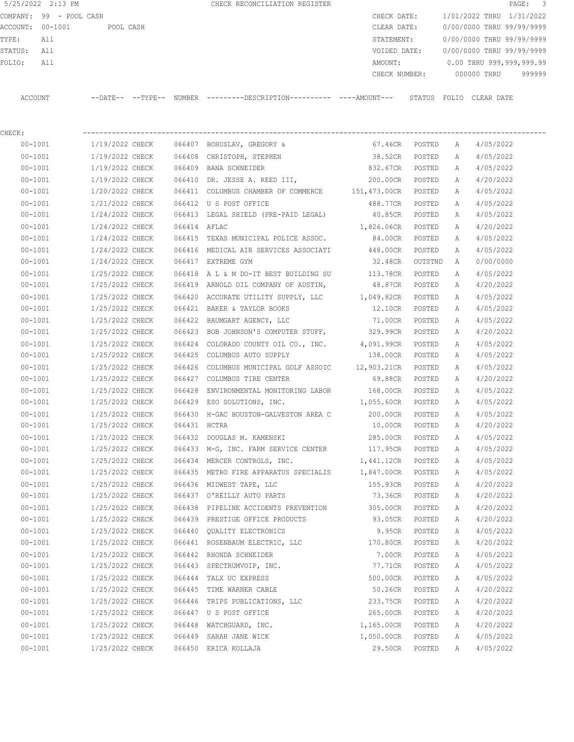COMPANY: 99 - POOL CASH CHECK DATE: 1/01/2022 THRU 1/31/2022 ACCOUNT: 00-1001 POOL CASH CLEAR DATE: 0/00/0000 THRU 99/99/9999 TYPE: All STATEMENT: 0/00/0000 THRU 99/99/9999 STATUS: All VOIDED DATE: 0/00/0000 THRU 99/99/9999 FOLIO: All AMOUNT: 0.00 THRU 999,999,999.99 CHECK NUMBER: 000000 THRU 999999 ACCOUNT --DATE-- --TYPE-- NUMBER ---------DESCRIPTION---------- ----AMOUNT--- STATUS FOLIO CLEAR DATE

5/25/2022 2:13 PM CHECK RECONCILIATION REGISTER PAGE: 3

CHECK: ---------------------------------------------------------------------------------------------------------------- 00-1001 1/19/2022 CHECK 066407 BOHUSLAV, GREGORY & 67.46CR POSTED A 4/05/2022 00-1001 1/19/2022 CHECK 066408 CHRISTOPH, STEPHEN 38.52CR POSTED A 4/05/2022 00-1001 1/19/2022 CHECK 066409 BANA SCHNEIDER 832.67CR POSTED A 4/05/2022 00-1001 1/19/2022 CHECK 066410 DR. JESSE A. REED III, 200.00CR POSTED A 4/20/2022 00-1001 1/20/2022 CHECK 066411 COLUMBUS CHAMBER OF COMMERCE 151,473.00CR POSTED A 4/05/2022 00-1001 1/21/2022 CHECK 066412 U S POST OFFICE 488.77CR POSTED A 4/05/2022 00-1001 1/24/2022 CHECK 066413 LEGAL SHIELD (PRE-PAID LEGAL) 40.85CR POSTED A 4/05/2022 00-1001 1/24/2022 CHECK 066414 AFLAC 1,826.06CR POSTED A 4/20/2022 00-1001 1/24/2022 CHECK 066415 TEXAS MUNICIPAL POLICE ASSOC. 84.00CR POSTED A 4/05/2022 00-1001 1/24/2022 CHECK 066416 MEDICAL AIR SERVICES ASSOCIATI 448.00CR POSTED A 4/05/2022 00-1001 1/24/2022 CHECK 066417 EXTREME GYM 32.48CR OUTSTND A 0/00/0000 00-1001 1/25/2022 CHECK 066418 A L & M DO-IT BEST BUILDING SU 113.78CR POSTED A 4/05/2022 00-1001 1/25/2022 CHECK 066419 ARNOLD OIL COMPANY OF AUSTIN, 48.87CR POSTED A 4/20/2022 00-1001 1/25/2022 CHECK 066420 ACCURATE UTILITY SUPPLY, LLC 1,049.82CR POSTED A 4/05/2022 00-1001 1/25/2022 CHECK 066421 BAKER & TAYLOR BOOKS 12.10CR POSTED A 4/05/2022 00-1001 1/25/2022 CHECK 066422 BAUMGART AGENCY, LLC 71.00CR POSTED A 4/05/2022 00-1001 1/25/2022 CHECK 066423 BOB JOHNSON'S COMPUTER STUFF, 329.99CR POSTED A 4/20/2022 00-1001 1/25/2022 CHECK 066424 COLORADO COUNTY OIL CO., INC. 4,091.99CR POSTED A 4/05/2022 00-1001 1/25/2022 CHECK 066425 COLUMBUS AUTO SUPPLY 138.00CR POSTED A 4/05/2022 00-1001 1/25/2022 CHECK 066426 COLUMBUS MUNICIPAL GOLF ASSOIC 12,903.21CR POSTED A 4/05/2022 00-1001 1/25/2022 CHECK 066427 COLUMBUS TIRE CENTER 69.88CR POSTED A 4/20/2022 00-1001 1/25/2022 CHECK 066428 ENVIRONMENTAL MONITORING LABOR 168.00CR POSTED A 4/05/2022 00-1001 1/25/2022 CHECK 066429 ESO SOLUTIONS, INC. 1,055.60CR POSTED A 4/05/2022 00-1001 1/25/2022 CHECK 066430 H-GAC HOUSTON-GALVESTON AREA C 200.00CR POSTED A 4/05/2022 00-1001 1/25/2022 CHECK 066431 HCTRA 10.00CR POSTED A 4/20/2022 00-1001 1/25/2022 CHECK 066432 DOUGLAS M. KAMENSKI 285.00CR POSTED A 4/05/2022 00-1001 1/25/2022 CHECK 066433 M-G, INC. FARM SERVICE CENTER 117.95CR POSTED A 4/05/2022 00-1001 1/25/2022 CHECK 066434 MERCER CONTROLS, INC. 1,441.12CR POSTED A 4/05/2022 00-1001 1/25/2022 CHECK 066435 METRO FIRE APPARATUS SPECIALIS 1,847.00CR POSTED A 4/05/2022 00-1001 1/25/2022 CHECK 066436 MIDWEST TAPE, LLC 155.93CR POSTED A 4/20/2022 00-1001 1/25/2022 CHECK 066437 O'REILLY AUTO PARTS 73.36CR POSTED A 4/20/2022 00-1001 1/25/2022 CHECK 066438 PIPELINE ACCIDENTS PREVENTION 305.00CR POSTED A 4/20/2022 00-1001 1/25/2022 CHECK 066439 PRESTIGE OFFICE PRODUCTS 93.05CR POSTED A 4/20/2022 00-1001 1/25/2022 CHECK 066440 QUALITY ELECTRONICS 9.95CR POSTED A 4/05/2022 00-1001 1/25/2022 CHECK 066441 ROSENBAUM ELECTRIC, LLC 170.80CR POSTED A 4/20/2022 00-1001 1/25/2022 CHECK 066442 RHONDA SCHNEIDER 7.00CR POSTED A 4/05/2022 00-1001 1/25/2022 CHECK 066443 SPECTRUMVOIP, INC. 77.71CR POSTED A 4/05/2022 00-1001 1/25/2022 CHECK 066444 TALX UC EXPRESS 500.00CR POSTED A 4/05/2022 00-1001 1/25/2022 CHECK 066445 TIME WARNER CABLE 50.26CR POSTED A 4/20/2022 00-1001 1/25/2022 CHECK 066446 TRIPS PUBLICATIONS, LLC 233.75CR POSTED A 4/20/2022 00-1001 1/25/2022 CHECK 066447 U S POST OFFICE 265.00CR POSTED A 4/20/2022 00-1001 1/25/2022 CHECK 066448 WATCHGUARD, INC. 1,165.00CR POSTED A 4/20/2022 00-1001 1/25/2022 CHECK 066449 SARAH JANE WICK 1,050.00CR POSTED A 4/05/2022 00-1001 1/25/2022 CHECK 066450 ERICA KOLLAJA 29.50CR POSTED A 4/05/2022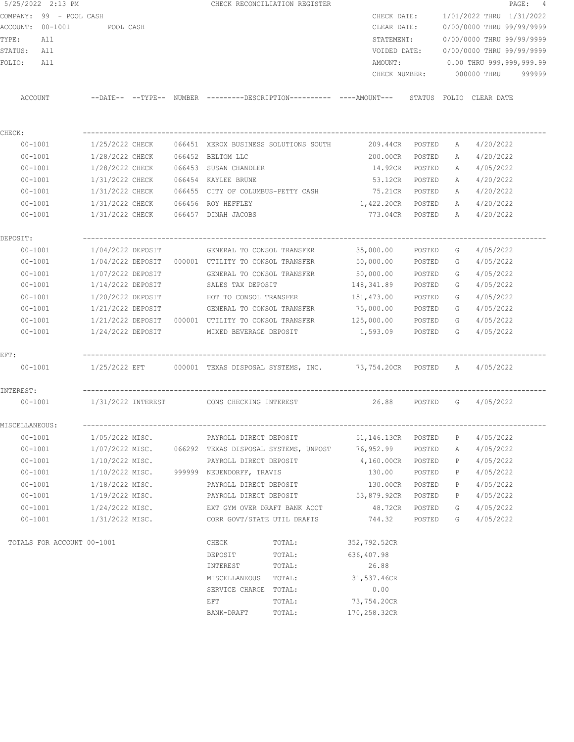| 5/25/2022 2:13 PM          |  |                   |  |  |                                                                                                                | CHECK RECONCILIATION REGISTER                                                                |                             |                           |                          |                                  | PAGE: 4 |  |
|----------------------------|--|-------------------|--|--|----------------------------------------------------------------------------------------------------------------|----------------------------------------------------------------------------------------------|-----------------------------|---------------------------|--------------------------|----------------------------------|---------|--|
| COMPANY: 99 - POOL CASH    |  |                   |  |  |                                                                                                                |                                                                                              | CHECK DATE:                 |                           | 1/01/2022 THRU 1/31/2022 |                                  |         |  |
| ACCOUNT: 00-1001           |  | POOL CASH         |  |  |                                                                                                                | CLEAR DATE:                                                                                  |                             | 0/00/0000 THRU 99/99/9999 |                          |                                  |         |  |
| TYPE:<br>All               |  |                   |  |  |                                                                                                                |                                                                                              | STATEMENT:                  |                           |                          | 0/00/0000 THRU 99/99/9999        |         |  |
| STATUS: All                |  |                   |  |  |                                                                                                                |                                                                                              | VOIDED DATE:                |                           |                          | 0/00/0000 THRU 99/99/9999        |         |  |
| FOLIO:<br>All              |  |                   |  |  |                                                                                                                |                                                                                              | AMOUNT:                     |                           |                          | $0.00$ THRU 999,999,999.99       |         |  |
|                            |  |                   |  |  |                                                                                                                |                                                                                              |                             |                           |                          | CHECK NUMBER: 000000 THRU 999999 |         |  |
| ACCOUNT                    |  |                   |  |  |                                                                                                                | --DATE-- --TYPE-- NUMBER ---------DESCRIPTION---------- ----AMOUNT--- STATUS FOLIO CLEARDATE |                             |                           |                          |                                  |         |  |
|                            |  |                   |  |  |                                                                                                                |                                                                                              |                             |                           |                          |                                  |         |  |
| CHECK:                     |  |                   |  |  |                                                                                                                |                                                                                              |                             |                           |                          |                                  |         |  |
| 00-1001<br>$00 - 1001$     |  |                   |  |  | 1/28/2022 CHECK 066452 BELTOM LLC                                                                              |                                                                                              | 209.44CR POSTED<br>200.00CR | POSTED                    |                          | A 4/20/2022<br>4/20/2022         |         |  |
| $00 - 1001$                |  | 1/28/2022 CHECK   |  |  | 066453 SUSAN CHANDLER                                                                                          |                                                                                              | 14.92CR POSTED              |                           | A<br>A                   | 4/05/2022                        |         |  |
| $00 - 1001$                |  | 1/31/2022 CHECK   |  |  | 066454 KAYLEE BRUNE                                                                                            |                                                                                              | 53.12CR                     | POSTED                    | A                        | 4/20/2022                        |         |  |
| $00 - 1001$                |  |                   |  |  |                                                                                                                | 1/31/2022 CHECK 066455 CITY OF COLUMBUS-PETTY CASH 75.21CR POSTED                            |                             |                           |                          | A 4/20/2022                      |         |  |
|                            |  |                   |  |  | 1/31/2022 CHECK 066456 ROY HEFFLEY                                                                             |                                                                                              | 1,422.20CR POSTED           |                           |                          | A 4/20/2022                      |         |  |
| $00 - 1001$<br>$00 - 1001$ |  |                   |  |  | 1/31/2022 CHECK 066457 DINAH JACOBS                                                                            |                                                                                              | 773.04CR POSTED             |                           |                          | A 4/20/2022                      |         |  |
|                            |  |                   |  |  |                                                                                                                |                                                                                              |                             |                           |                          |                                  |         |  |
| DEPOSIT:                   |  |                   |  |  |                                                                                                                |                                                                                              |                             |                           |                          |                                  |         |  |
| $00 - 1001$                |  | 1/04/2022 DEPOSIT |  |  | GENERAL TO CONSOL TRANSFER                                                                                     |                                                                                              | 35,000.00                   | POSTED                    | G                        | 4/05/2022                        |         |  |
| $00 - 1001$                |  |                   |  |  | 1/04/2022 DEPOSIT 000001 UTILITY TO CONSOL TRANSFER                                                            |                                                                                              | 50,000.00                   | POSTED                    | G                        | 4/05/2022                        |         |  |
| $00 - 1001$                |  | 1/07/2022 DEPOSIT |  |  | GENERAL TO CONSOL TRANSFER                                                                                     |                                                                                              | 50,000.00                   | POSTED                    | G                        | 4/05/2022                        |         |  |
| $00 - 1001$                |  | 1/14/2022 DEPOSIT |  |  | SALES TAX DEPOSIT                                                                                              |                                                                                              | 148,341.89                  | POSTED                    | G                        | 4/05/2022                        |         |  |
| $00 - 1001$                |  | 1/20/2022 DEPOSIT |  |  | HOT TO CONSOL TRANSFER                                                                                         |                                                                                              | 151,473.00                  | POSTED                    | G                        | 4/05/2022                        |         |  |
| $00 - 1001$                |  | 1/21/2022 DEPOSIT |  |  |                                                                                                                | GENERAL TO CONSOL TRANSFER 75,000.00                                                         |                             | POSTED                    | G                        | 4/05/2022                        |         |  |
| $00 - 1001$                |  |                   |  |  |                                                                                                                | $1/21/2022$ DEPOSIT $\,$ 000001 UTILITY TO CONSOL TRANSFER $\,$ 125,000.00                   |                             | POSTED                    | G                        | 4/05/2022                        |         |  |
| $00 - 1001$                |  | 1/24/2022 DEPOSIT |  |  |                                                                                                                | MIXED BEVERAGE DEPOSIT 1,593.09                                                              |                             | POSTED                    | - G - C - O              | 4/05/2022                        |         |  |
| $EFT$ :                    |  |                   |  |  |                                                                                                                |                                                                                              |                             |                           |                          |                                  |         |  |
|                            |  |                   |  |  |                                                                                                                | 00-1001 1/25/2022 EFT 000001 TEXAS DISPOSAL SYSTEMS, INC. 37,754.20CR POSTED A 4/05/2022     |                             |                           |                          |                                  |         |  |
| INTEREST:                  |  |                   |  |  |                                                                                                                |                                                                                              |                             |                           |                          |                                  |         |  |
| 00-1001                    |  |                   |  |  |                                                                                                                | 1/31/2022 INTEREST 6 CONS CHECKING INTEREST 6 26.88 POSTED 6 4/05/2022                       |                             |                           |                          |                                  |         |  |
| MISCELLANEOUS:             |  |                   |  |  |                                                                                                                |                                                                                              |                             |                           |                          |                                  |         |  |
| $00 - 1001$                |  | 1/05/2022 MISC.   |  |  |                                                                                                                | PAYROLL DIRECT DEPOSIT                                                                       |                             |                           | P                        | 4/05/2022                        |         |  |
| $00 - 1001$                |  |                   |  |  | 1/07/2022 MISC. 066292 TEXAS DISPOSAL SYSTEMS, UNPOST 76,952.99                                                |                                                                                              |                             | POSTED                    | A                        | 4/05/2022                        |         |  |
| $00 - 1001$                |  | 1/10/2022 MISC.   |  |  | PAYROLL DIRECT DEPOSIT                                                                                         |                                                                                              | 4,160.00CR                  | POSTED                    | P                        | 4/05/2022                        |         |  |
| $00 - 1001$                |  | 1/10/2022 MISC.   |  |  | 999999 NEUENDORFF, TRAVIS                                                                                      |                                                                                              | 130.00                      | POSTED                    | P                        | 4/05/2022                        |         |  |
| $00 - 1001$                |  | 1/18/2022 MISC.   |  |  |                                                                                                                | PAYROLL DIRECT DEPOSIT                                                                       | 130.00CR                    | POSTED                    | Ρ                        | 4/05/2022                        |         |  |
| $00 - 1001$                |  | 1/19/2022 MISC.   |  |  | PAYROLL DIRECT DEPOSIT 53,879.92CR                                                                             |                                                                                              |                             | POSTED                    | P                        | 4/05/2022                        |         |  |
| $00 - 1001$                |  | 1/24/2022 MISC.   |  |  | EXT GYM OVER DRAFT BANK ACCT                                                                                   |                                                                                              | 48.72CR                     | POSTED                    | G                        | 4/05/2022                        |         |  |
| $00 - 1001$                |  | 1/31/2022 MISC.   |  |  | CORR GOVT/STATE UTIL DRAFTS                                                                                    |                                                                                              | 744.32                      | POSTED                    | G                        | 4/05/2022                        |         |  |
| TOTALS FOR ACCOUNT 00-1001 |  |                   |  |  | CHECK                                                                                                          | TOTAL:                                                                                       | 352,792.52CR                |                           |                          |                                  |         |  |
|                            |  |                   |  |  | DEPOSIT                                                                                                        | TOTAL:                                                                                       | 636,407.98                  |                           |                          |                                  |         |  |
|                            |  |                   |  |  | INTEREST                                                                                                       | TOTAL:                                                                                       | 26.88                       |                           |                          |                                  |         |  |
|                            |  |                   |  |  | MISCELLANEOUS TOTAL:                                                                                           |                                                                                              | 31,537.46CR                 |                           |                          |                                  |         |  |
|                            |  |                   |  |  | SERVICE CHARGE TOTAL:                                                                                          |                                                                                              | 0.00                        |                           |                          |                                  |         |  |
|                            |  |                   |  |  | EFT FOR THE STATE OF THE STATE OF THE STATE OF THE STATE OF THE STATE OF THE STATE OF THE STATE OF THE STATE O | TOTAL:                                                                                       | 73,754.20CR                 |                           |                          |                                  |         |  |
|                            |  |                   |  |  | BANK-DRAFT                                                                                                     | TOTAL:                                                                                       | 170,258.32CR                |                           |                          |                                  |         |  |
|                            |  |                   |  |  |                                                                                                                |                                                                                              |                             |                           |                          |                                  |         |  |